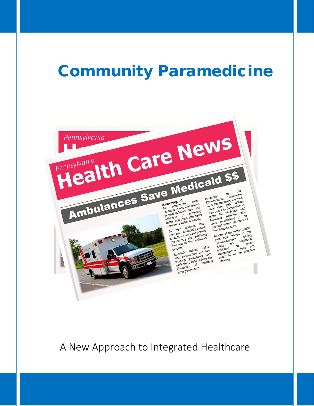## Community Paramedicine



A New Approach to Integrated Healthcare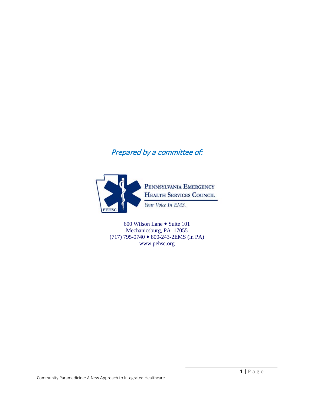## Prepared by a committee of:



600 Wilson Lane • Suite 101 Mechanicsburg, PA 17055 (717) 795-0740 800-243-2EMS (in PA) www.pehsc.org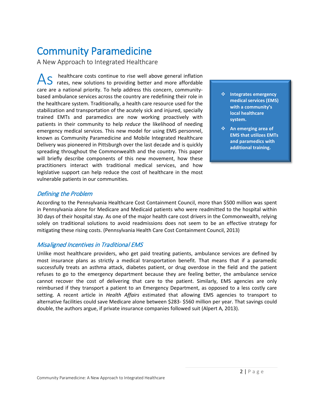# **Community Paramedicine**<br>A New Approach to Integrated Healthcare

healthcare costs continue to rise well above general inflation As healthcare costs continue to rise well above general inflation<br>
rates, new solutions to providing better and more affordable care are a national priority. To help address this concern, communitybased ambulance services across the country are redefining their role in the healthcare system. Traditionally, a health care resource used for the stabilization and transportation of the acutely sick and injured, specially trained EMTs and paramedics are now working proactively with patients in their community to help *reduce* the likelihood of needing emergency medical services. This new model for using EMS personnel, known as Community Paramedicine and Mobile Integrated Healthcare Delivery was pioneered in Pittsburgh over the last decade and is quickly spreading throughout the Commonwealth and the country. This paper will briefly describe components of this new movement, how these practitioners interact with traditional medical services, and how legislative support can help reduce the cost of healthcare in the most vulnerable patients in our communities.

- **Integrates emergency medical services (EMS) with a community's local healthcare system.**
- **An emerging area of EMS that utilizes EMTs and paramedics with additional training.**

#### Defining the Problem

According to the Pennsylvania Healthcare Cost Containment Council, more than \$500 million was spent in Pennsylvania alone for Medicare and Medicaid patients who were readmitted to the hospital within 30 days of their hospital stay. As one of the major health care cost drivers in the Commonwealth, relying solely on traditional solutions to avoid readmissions does not seem to be an effective strategy for mitigating these rising costs. (Pennsylvania Health Care Cost Containment Council, 2013)

#### Misaligned Incentives in Traditional EMS

Unlike most healthcare providers, who get paid treating patients, ambulance services are defined by most insurance plans as strictly a medical transportation benefit. That means that if a paramedic successfully treats an asthma attack, diabetes patient, or drug overdose in the field and the patient refuses to go to the emergency department because they are feeling better, the ambulance service cannot recover the cost of delivering that care to the patient. Similarly, EMS agencies are only reimbursed if they transport a patient to an Emergency Department, as opposed to a less costly care setting. A recent article in *Health Affairs* estimated that allowing EMS agencies to transport to alternative facilities could save Medicare alone between \$283- \$560 million per year. That savings could double, the authors argue, if private insurance companies followed suit (Alpert A, 2013).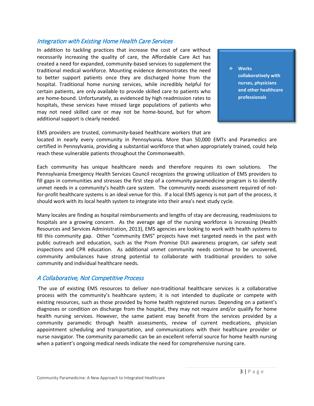#### Integration with Existing Home Health Care Services

In addition to tackling practices that increase the cost of care without necessarily increasing the quality of care, the Affordable Care Act has created a need for expanded, community-based services to supplement the traditional medical workforce. Mounting evidence demonstrates the need to better support patients once they are discharged home from the hospital. Traditional home nursing services, while incredibly helpful for certain patients, are only available to provide skilled care to patients who are home-bound. Unfortunately, as evidenced by high readmission rates to hospitals, these services have missed large populations of patients who may not need skilled care or may not be home-bound, but for whom additional support is clearly needed.

 **Works collaboratively with nurses, physicians and other healthcare professionals**

EMS providers are trusted, community-based healthcare workers that are

located in nearly every community in Pennsylvania. More than 50,000 EMTs and Paramedics are certified in Pennsylvania, providing a substantial workforce that when appropriately trained, could help reach these vulnerable patients throughout the Commonwealth.

Each community has unique healthcare needs and therefore requires its own solutions. The Pennsylvania Emergency Health Services Council recognizes the growing utilization of EMS providers to fill gaps in communities and stresses the first step of a community paramedicine program is to identify unmet needs in a community's health care system. The community needs assessment required of notfor-profit healthcare systems is an ideal venue for this. If a local EMS agency is not part of the process, it should work with its local health system to integrate into their area's next study cycle.

Many locales are finding as hospital reimbursements and lengths of stay are decreasing, readmissions to hospitals are a growing concern. As the average age of the nursing workforce is increasing (Health Resources and Services Administration, 2013), EMS agencies are looking to work with health systems to fill this community gap. Other "community EMS" projects have met targeted needs in the past with public outreach and education, such as the Prom Promise DUI awareness program, car safety seat inspections and CPR education. As additional unmet community needs continue to be uncovered, community ambulances have strong potential to collaborate with traditional providers to solve community and individual healthcare needs.

#### A Collaborative, Not Competitive Process

The use of existing EMS resources to deliver non-traditional healthcare services is a collaborative process with the community's healthcare system; it is not intended to duplicate or compete with existing resources, such as those provided by home health registered nurses. Depending on a patient's diagnoses or condition on discharge from the hospital, they may not require and/or qualify for home health nursing services. However, the same patient may benefit from the services provided by a community paramedic through health assessments, review of current medications, physician appointment scheduling and transportation, and communications with their healthcare provider or nurse navigator. The community paramedic can be an excellent referral source for home health nursing when a patient's ongoing medical needs indicate the need for comprehensive nursing care.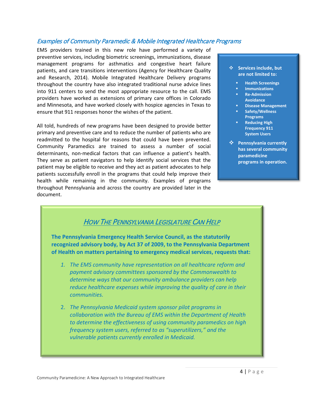#### Examples of Community Paramedic & Mobile Integrated Healthcare Programs

EMS providers trained in this new role have performed a variety of preventive services, including biometric screenings, immunizations, disease management programs for asthmatics and congestive heart failure patients, and care transitions interventions (Agency for Healthcare Quality and Research, 2014). Mobile Integrated Healthcare Delivery programs throughout the country have also integrated traditional nurse advice lines into 911 centers to send the most appropriate resource to the call. EMS providers have worked as extensions of primary care offices in Colorado and Minnesota, and have worked closely with hospice agencies in Texas to ensure that 911 responses honor the wishes of the patient.

All told, hundreds of new programs have been designed to provide better primary and preventive care and to reduce the number of patients who are readmitted to the hospital for reasons that could have been prevented. Community Paramedics are trained to assess a number of social determinants, non-medical factors that can influence a patient's health. They serve as patient navigators to help identify social services that the patient may be eligible to receive and they act as patient advocates to help patients successfully enroll in the programs that could help improve their health while remaining in the community. Examples of programs throughout Pennsylvania and across the country are provided later in the document.

#### **Services include, but are not limited to:**

- **Health Screenings**
- **Immunizations**
- **Re-Admission Avoidance**
- **Disease Management**
- **Safety/Wellness Programs**
- **Reducing High Frequency 911 System Users**
- **Pennsylvania currently has several community paramedicine programs in operation.**

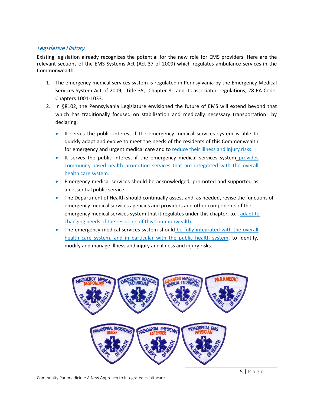#### Legislative History

Existing legislation already recognizes the potential for the new role for EMS providers. Here are the relevant sections of the EMS Systems Act (Act 37 of 2009) which regulates ambulance services in the Commonwealth.

- 1. The emergency medical services system is regulated in Pennsylvania by the Emergency Medical Services System Act of 2009, Title 35, Chapter 81 and its associated regulations, 28 PA Code, Chapters 1001-1033.
- 2. In §8102, the Pennsylvania Legislature envisioned the future of EMS will extend beyond that which has traditionally focused on stabilization and medically necessary transportation by declaring:
	- It serves the public interest if the emergency medical services system is able to quickly adapt and evolve to meet the needs of the residents of this Commonwealth for emergency and urgent medical care and to reduce their illness and injury risks.
	- It serves the public interest if the emergency medical services system provides community-based health promotion services that are integrated with the overall health care system.
	- Emergency medical services should be acknowledged, promoted and supported as an essential public service.
	- The Department of Health should continually assess and, as needed, revise the functions of emergency medical services agencies and providers and other components of the emergency medical services system that it regulates under this chapter, to... adapt to changing needs of the residents of this Commonwealth.
	- The emergency medical services system should be fully integrated with the overall health care system, and in particular with the public health system, to identify, modify and manage illness and injury and illness and injury risks.

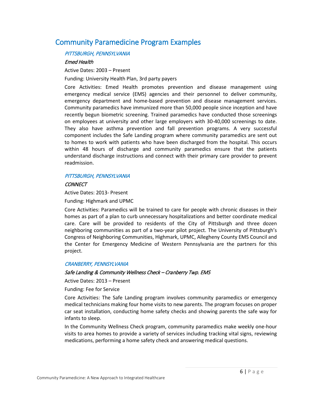### Community Paramedicine Program Examples

#### PITTSBURGH, PENNSYLVANIA

#### Emed Health

Active Dates: 2003 – Present

Funding: University Health Plan, 3rd party payers

Core Activities: Emed Health promotes prevention and disease management using emergency medical service (EMS) agencies and their personnel to deliver community, emergency department and home-based prevention and disease management services. Community paramedics have immunized more than 50,000 people since inception and have recently begun biometric screening. Trained paramedics have conducted those screenings on employees at university and other large employers with 30-40,000 screenings to date. They also have asthma prevention and fall prevention programs. A very successful component includes the Safe Landing program where community paramedics are sent out to homes to work with patients who have been discharged from the hospital. This occurs within 48 hours of discharge and community paramedics ensure that the patients understand discharge instructions and connect with their primary care provider to prevent readmission.

#### PITTSBURGH, PENNSYLVANIA

#### **CONNECT**

Active Dates: 2013- Present

Funding: Highmark and UPMC

Core Activities: Paramedics will be trained to care for people with chronic diseases in their homes as part of a plan to curb unnecessary hospitalizations and better coordinate medical care. Care will be provided to residents of the City of Pittsburgh and three dozen neighboring communities as part of a two-year pilot project. The University of Pittsburgh's Congress of Neighboring Communities, Highmark, UPMC, Allegheny County EMS Council and the Center for Emergency Medicine of Western Pennsylvania are the partners for this project.

#### CRANBERRY, PENNSYLVANIA

#### Safe Landing & Community Wellness Check – Cranberry Twp. EMS

Active Dates: 2013 – Present

Funding: Fee for Service

Core Activities: The Safe Landing program involves community paramedics or emergency medical technicians making four home visits to new parents. The program focuses on proper car seat installation, conducting home safety checks and showing parents the safe way for infants to sleep.

In the Community Wellness Check program, community paramedics make weekly one-hour visits to area homes to provide a variety of services including tracking vital signs, reviewing medications, performing a home safety check and answering medical questions.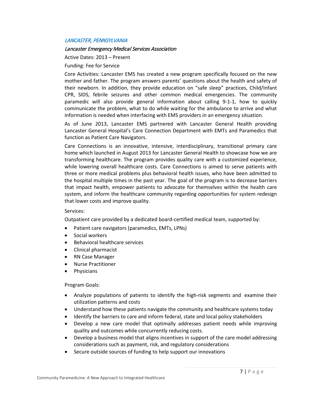#### LANCASTER, PENNSYLVANIA

#### Lancaster Emergency Medical Services Association

Active Dates: 2013 – Present

Funding: Fee for Service

Core Activities: Lancaster EMS has created a new program specifically focused on the new mother and father. The program answers parents' questions about the health and safety of their newborn. In addition, they provide education on "safe sleep" practices, Child/Infant CPR, SIDS, febrile seizures and other common medical emergencies. The community paramedic will also provide general information about calling 9-1-1, how to quickly communicate the problem, what to do while waiting for the ambulance to arrive and what information is needed when interfacing with EMS providers in an emergency situation.

As of June 2013, Lancaster EMS partnered with Lancaster General Health providing Lancaster General Hospital's Care Connection Department with EMTs and Paramedics that function as Patient Care Navigators.

Care Connections is an innovative, intensive, interdisciplinary, transitional primary care home which launched in August 2013 for Lancaster General Health to showcase how we are transforming healthcare. The program provides quality care with a customized experience, while lowering overall healthcare costs. Care Connections is aimed to serve patients with three or more medical problems plus behavioral health issues, who have been admitted to the hospital multiple times in the past year. The goal of the program is to decrease barriers that impact health, empower patients to advocate for themselves within the health care system, and inform the healthcare community regarding opportunities for system redesign that lower costs and improve quality.

#### Services:

Outpatient care provided by a dedicated board-certified medical team, supported by:

- Patient care navigators (paramedics, EMTs, LPNs)
- Social workers
- Behavioral healthcare services
- Clinical pharmacist
- RN Case Manager
- Nurse Practitioner
- **Physicians**

Program Goals:

- Analyze populations of patients to identify the high-risk segments and examine their utilization patterns and costs
- Understand how these patients navigate the community and healthcare systems today
- Identify the barriers to care and inform federal, state and local policy stakeholders
- Develop a new care model that optimally addresses patient needs while improving quality and outcomes while concurrently reducing costs.
- Develop a business model that aligns incentives in support of the care model addressing considerations such as payment, risk, and regulatory considerations
- Secure outside sources of funding to help support our innovations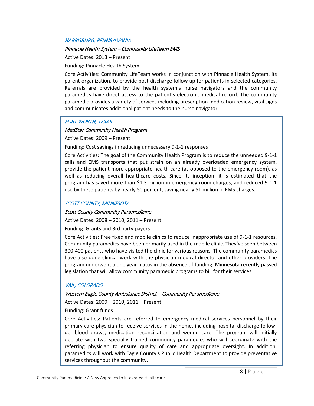#### HARRISBURG, PENNSYLVANIA

#### Pinnacle Health System – Community LifeTeam EMS

Active Dates: 2013 – Present

Funding: Pinnacle Health System

Core Activities: Community LifeTeam works in conjunction with Pinnacle Health System, its parent organization, to provide post discharge follow up for patients in selected categories. Referrals are provided by the health system's nurse navigators and the community paramedics have direct access to the patient's electronic medical record. The community paramedic provides a variety of services including prescription medication review, vital signs and communicates additional patient needs to the nurse navigator.

#### FORT WORTH, TEXAS

#### MedStar Community Health Program

Active Dates: 2009 – Present

Funding: Cost savings in reducing unnecessary 9-1-1 responses

Core Activities: The goal of the Community Health Program is to reduce the unneeded 9-1-1 calls and EMS transports that put strain on an already overloaded emergency system, provide the patient more appropriate health care (as opposed to the emergency room), as well as reducing overall healthcare costs. Since its inception, it is estimated that the program has saved more than \$1.3 million in emergency room charges, and reduced 9-1-1 use by these patients by nearly 50 percent, saving nearly \$1 million in EMS charges.

#### SCOTT COUNTY, MINNESOTA

#### Scott County Community Paramedicine

Active Dates: 2008 – 2010; 2011 – Present

Funding: Grants and 3rd party payers

Core Activities: Free fixed and mobile clinics to reduce inappropriate use of 9-1-1 resources. Community paramedics have been primarily used in the mobile clinic. They've seen between 300-400 patients who have visited the clinic for various reasons. The community paramedics have also done clinical work with the physician medical director and other providers. The program underwent a one year hiatus in the absence of funding. Minnesota recently passed legislation that will allow community paramedic programs to bill for their services.

#### VAIL, COLORADO

#### Western Eagle County Ambulance District – Community Paramedicine

Active Dates: 2009 – 2010; 2011 – Present

Funding: Grant funds

Core Activities: Patients are referred to emergency medical services personnel by their primary care physician to receive services in the home, including hospital discharge followup, blood draws, medication reconciliation and wound care. The program will initially operate with two specially trained community paramedics who will coordinate with the referring physician to ensure quality of care and appropriate oversight. In addition, paramedics will work with Eagle County's Public Health Department to provide preventative services throughout the community.